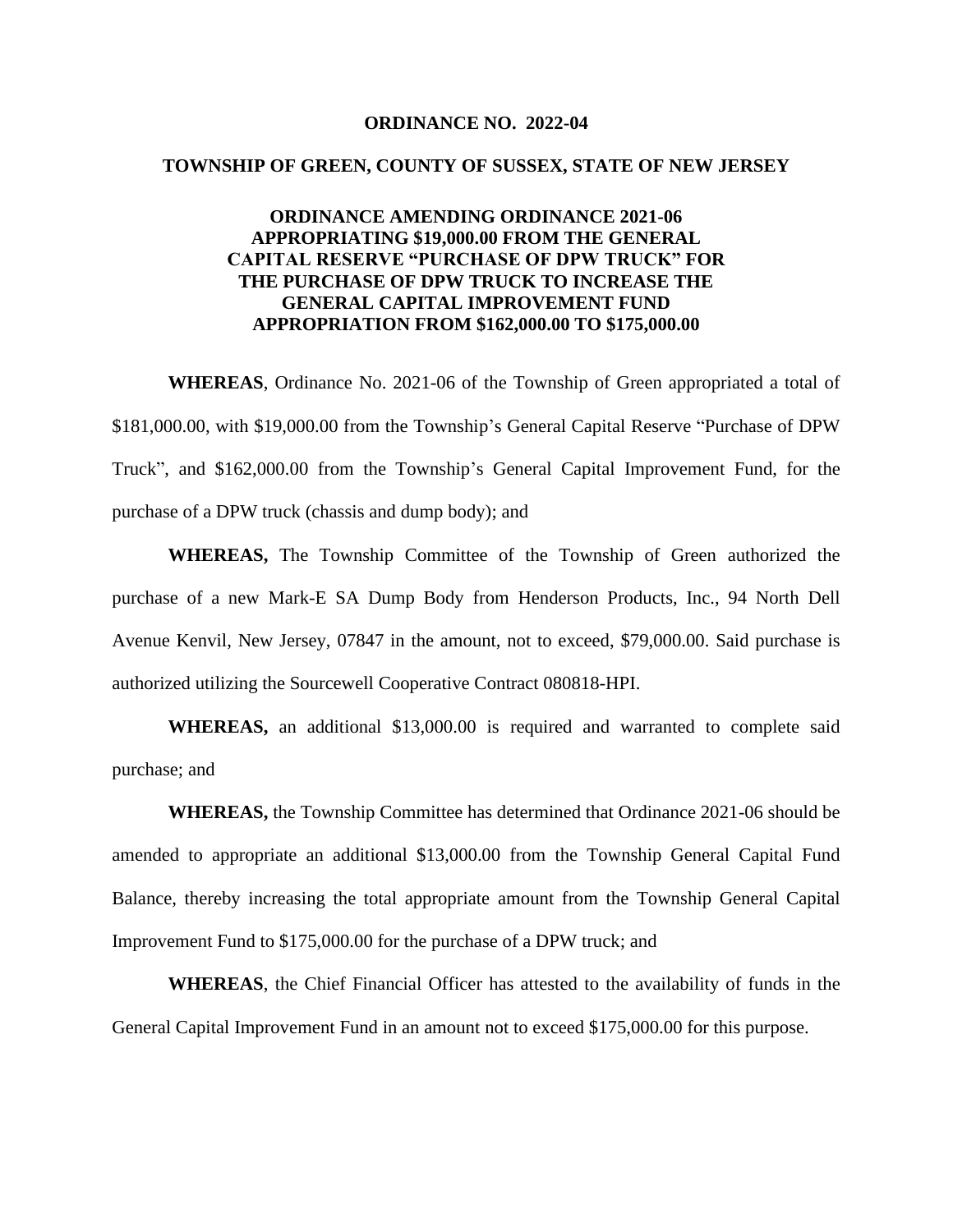#### **ORDINANCE NO. 2022-04**

#### **TOWNSHIP OF GREEN, COUNTY OF SUSSEX, STATE OF NEW JERSEY**

### **ORDINANCE AMENDING ORDINANCE 2021-06 APPROPRIATING \$19,000.00 FROM THE GENERAL CAPITAL RESERVE "PURCHASE OF DPW TRUCK" FOR THE PURCHASE OF DPW TRUCK TO INCREASE THE GENERAL CAPITAL IMPROVEMENT FUND APPROPRIATION FROM \$162,000.00 TO \$175,000.00**

**WHEREAS**, Ordinance No. 2021-06 of the Township of Green appropriated a total of \$181,000.00, with \$19,000.00 from the Township's General Capital Reserve "Purchase of DPW Truck", and \$162,000.00 from the Township's General Capital Improvement Fund, for the purchase of a DPW truck (chassis and dump body); and

**WHEREAS,** The Township Committee of the Township of Green authorized the purchase of a new Mark-E SA Dump Body from Henderson Products, Inc., 94 North Dell Avenue Kenvil, New Jersey, 07847 in the amount, not to exceed, \$79,000.00. Said purchase is authorized utilizing the Sourcewell Cooperative Contract 080818-HPI.

**WHEREAS,** an additional \$13,000.00 is required and warranted to complete said purchase; and

**WHEREAS,** the Township Committee has determined that Ordinance 2021-06 should be amended to appropriate an additional \$13,000.00 from the Township General Capital Fund Balance, thereby increasing the total appropriate amount from the Township General Capital Improvement Fund to \$175,000.00 for the purchase of a DPW truck; and

**WHEREAS**, the Chief Financial Officer has attested to the availability of funds in the General Capital Improvement Fund in an amount not to exceed \$175,000.00 for this purpose.